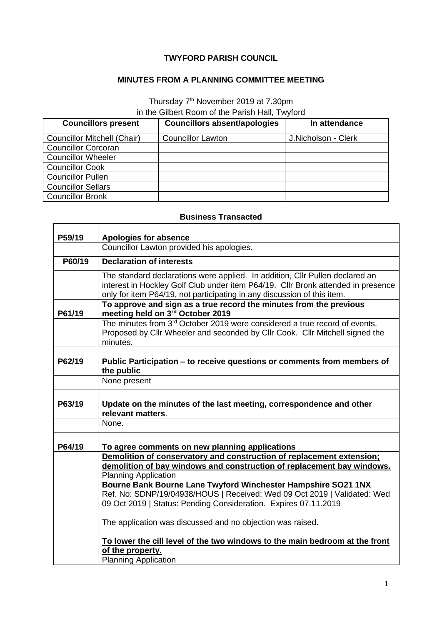## **TWYFORD PARISH COUNCIL**

## **MINUTES FROM A PLANNING COMMITTEE MEETING**

## Thursday 7<sup>th</sup> November 2019 at 7.30pm in the Gilbert Room of the Parish Hall, Twyford

| <b>Councillors present</b>  | <b>Councillors absent/apologies</b> | In attendance       |
|-----------------------------|-------------------------------------|---------------------|
| Councillor Mitchell (Chair) | <b>Councillor Lawton</b>            | J.Nicholson - Clerk |
| <b>Councillor Corcoran</b>  |                                     |                     |
| <b>Councillor Wheeler</b>   |                                     |                     |
| <b>Councillor Cook</b>      |                                     |                     |
| <b>Councillor Pullen</b>    |                                     |                     |
| <b>Councillor Sellars</b>   |                                     |                     |
| <b>Councillor Bronk</b>     |                                     |                     |

## **Business Transacted**

| P59/19 | <b>Apologies for absence</b>                                                                                                                                                                                                                                                                                                                                                                   |  |
|--------|------------------------------------------------------------------------------------------------------------------------------------------------------------------------------------------------------------------------------------------------------------------------------------------------------------------------------------------------------------------------------------------------|--|
|        | Councillor Lawton provided his apologies.                                                                                                                                                                                                                                                                                                                                                      |  |
| P60/19 | <b>Declaration of interests</b>                                                                                                                                                                                                                                                                                                                                                                |  |
|        | The standard declarations were applied. In addition, Cllr Pullen declared an<br>interest in Hockley Golf Club under item P64/19. Cllr Bronk attended in presence<br>only for item P64/19, not participating in any discussion of this item.                                                                                                                                                    |  |
| P61/19 | To approve and sign as a true record the minutes from the previous<br>meeting held on 3rd October 2019                                                                                                                                                                                                                                                                                         |  |
|        | The minutes from $3rd$ October 2019 were considered a true record of events.<br>Proposed by Cllr Wheeler and seconded by Cllr Cook. Cllr Mitchell signed the<br>minutes.                                                                                                                                                                                                                       |  |
| P62/19 | Public Participation – to receive questions or comments from members of<br>the public                                                                                                                                                                                                                                                                                                          |  |
|        | None present                                                                                                                                                                                                                                                                                                                                                                                   |  |
| P63/19 | Update on the minutes of the last meeting, correspondence and other<br>relevant matters.                                                                                                                                                                                                                                                                                                       |  |
|        | None.                                                                                                                                                                                                                                                                                                                                                                                          |  |
| P64/19 | To agree comments on new planning applications                                                                                                                                                                                                                                                                                                                                                 |  |
|        | Demolition of conservatory and construction of replacement extension;<br>demolition of bay windows and construction of replacement bay windows.<br><b>Planning Application</b><br>Bourne Bank Bourne Lane Twyford Winchester Hampshire SO21 1NX<br>Ref. No: SDNP/19/04938/HOUS   Received: Wed 09 Oct 2019   Validated: Wed<br>09 Oct 2019   Status: Pending Consideration. Expires 07.11.2019 |  |
|        | The application was discussed and no objection was raised.                                                                                                                                                                                                                                                                                                                                     |  |
|        | To lower the cill level of the two windows to the main bedroom at the front<br>of the property.<br><b>Planning Application</b>                                                                                                                                                                                                                                                                 |  |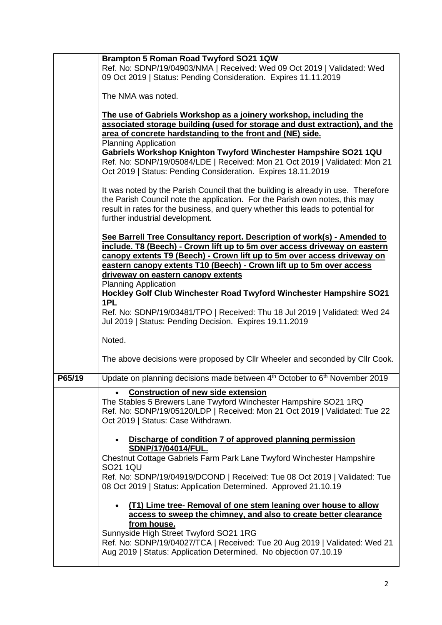|        | Brampton 5 Roman Road Twyford SO21 1QW<br>Ref. No: SDNP/19/04903/NMA   Received: Wed 09 Oct 2019   Validated: Wed<br>09 Oct 2019   Status: Pending Consideration. Expires 11.11.2019                                                                                                                                                                                                                                                                           |
|--------|----------------------------------------------------------------------------------------------------------------------------------------------------------------------------------------------------------------------------------------------------------------------------------------------------------------------------------------------------------------------------------------------------------------------------------------------------------------|
|        | The NMA was noted.                                                                                                                                                                                                                                                                                                                                                                                                                                             |
|        | The use of Gabriels Workshop as a joinery workshop, including the<br>associated storage building (used for storage and dust extraction), and the<br>area of concrete hardstanding to the front and (NE) side.<br><b>Planning Application</b><br>Gabriels Workshop Knighton Twyford Winchester Hampshire SO21 1QU<br>Ref. No: SDNP/19/05084/LDE   Received: Mon 21 Oct 2019   Validated: Mon 21<br>Oct 2019   Status: Pending Consideration. Expires 18.11.2019 |
|        | It was noted by the Parish Council that the building is already in use. Therefore<br>the Parish Council note the application. For the Parish own notes, this may<br>result in rates for the business, and query whether this leads to potential for<br>further industrial development.                                                                                                                                                                         |
|        | See Barrell Tree Consultancy report. Description of work(s) - Amended to<br>include. T8 (Beech) - Crown lift up to 5m over access driveway on eastern<br>canopy extents T9 (Beech) - Crown lift up to 5m over access driveway on<br>eastern canopy extents T10 (Beech) - Crown lift up to 5m over access                                                                                                                                                       |
|        | driveway on eastern canopy extents<br><b>Planning Application</b>                                                                                                                                                                                                                                                                                                                                                                                              |
|        | Hockley Golf Club Winchester Road Twyford Winchester Hampshire SO21<br>1PL                                                                                                                                                                                                                                                                                                                                                                                     |
|        | Ref. No: SDNP/19/03481/TPO   Received: Thu 18 Jul 2019   Validated: Wed 24<br>Jul 2019   Status: Pending Decision. Expires 19.11.2019                                                                                                                                                                                                                                                                                                                          |
|        | Noted.                                                                                                                                                                                                                                                                                                                                                                                                                                                         |
|        | The above decisions were proposed by Cllr Wheeler and seconded by Cllr Cook.                                                                                                                                                                                                                                                                                                                                                                                   |
| P65/19 | Update on planning decisions made between 4 <sup>th</sup> October to 6 <sup>th</sup> November 2019                                                                                                                                                                                                                                                                                                                                                             |
|        | <b>Construction of new side extension</b><br>The Stables 5 Brewers Lane Twyford Winchester Hampshire SO21 1RQ<br>Ref. No: SDNP/19/05120/LDP   Received: Mon 21 Oct 2019   Validated: Tue 22<br>Oct 2019   Status: Case Withdrawn.                                                                                                                                                                                                                              |
|        | Discharge of condition 7 of approved planning permission<br>SDNP/17/04014/FUL.<br>Chestnut Cottage Gabriels Farm Park Lane Twyford Winchester Hampshire                                                                                                                                                                                                                                                                                                        |
|        | SO21 1QU<br>Ref. No: SDNP/19/04919/DCOND   Received: Tue 08 Oct 2019   Validated: Tue<br>08 Oct 2019   Status: Application Determined. Approved 21.10.19                                                                                                                                                                                                                                                                                                       |
|        | (T1) Lime tree- Removal of one stem leaning over house to allow<br>access to sweep the chimney, and also to create better clearance<br>from house.                                                                                                                                                                                                                                                                                                             |
|        | Sunnyside High Street Twyford SO21 1RG<br>Ref. No: SDNP/19/04027/TCA   Received: Tue 20 Aug 2019   Validated: Wed 21<br>Aug 2019   Status: Application Determined. No objection 07.10.19                                                                                                                                                                                                                                                                       |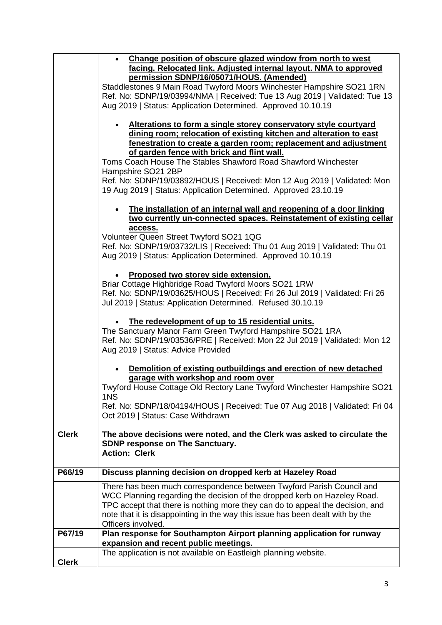|              | Change position of obscure glazed window from north to west<br>facing. Relocated link. Adjusted internal layout. NMA to approved<br>permission SDNP/16/05071/HOUS. (Amended)<br>Staddlestones 9 Main Road Twyford Moors Winchester Hampshire SO21 1RN<br>Ref. No: SDNP/19/03994/NMA   Received: Tue 13 Aug 2019   Validated: Tue 13                                                                                                                                                             |
|--------------|-------------------------------------------------------------------------------------------------------------------------------------------------------------------------------------------------------------------------------------------------------------------------------------------------------------------------------------------------------------------------------------------------------------------------------------------------------------------------------------------------|
|              | Aug 2019   Status: Application Determined. Approved 10.10.19                                                                                                                                                                                                                                                                                                                                                                                                                                    |
|              | Alterations to form a single storey conservatory style courtyard<br>dining room; relocation of existing kitchen and alteration to east<br>fenestration to create a garden room; replacement and adjustment<br>of garden fence with brick and flint wall.<br>Toms Coach House The Stables Shawford Road Shawford Winchester<br>Hampshire SO21 2BP<br>Ref. No: SDNP/19/03892/HOUS   Received: Mon 12 Aug 2019   Validated: Mon<br>19 Aug 2019   Status: Application Determined. Approved 23.10.19 |
|              | The installation of an internal wall and reopening of a door linking<br>two currently un-connected spaces. Reinstatement of existing cellar<br>access.<br>Volunteer Queen Street Twyford SO21 1QG<br>Ref. No: SDNP/19/03732/LIS   Received: Thu 01 Aug 2019   Validated: Thu 01<br>Aug 2019   Status: Application Determined. Approved 10.10.19                                                                                                                                                 |
|              | Proposed two storey side extension.<br>Briar Cottage Highbridge Road Twyford Moors SO21 1RW<br>Ref. No: SDNP/19/03625/HOUS   Received: Fri 26 Jul 2019   Validated: Fri 26<br>Jul 2019   Status: Application Determined. Refused 30.10.19                                                                                                                                                                                                                                                       |
|              | The redevelopment of up to 15 residential units.<br>The Sanctuary Manor Farm Green Twyford Hampshire SO21 1RA<br>Ref. No: SDNP/19/03536/PRE   Received: Mon 22 Jul 2019   Validated: Mon 12<br>Aug 2019   Status: Advice Provided                                                                                                                                                                                                                                                               |
|              | Demolition of existing outbuildings and erection of new detached<br>garage with workshop and room over<br>Twyford House Cottage Old Rectory Lane Twyford Winchester Hampshire SO21<br>1NS                                                                                                                                                                                                                                                                                                       |
|              | Ref. No: SDNP/18/04194/HOUS   Received: Tue 07 Aug 2018   Validated: Fri 04<br>Oct 2019   Status: Case Withdrawn                                                                                                                                                                                                                                                                                                                                                                                |
| <b>Clerk</b> | The above decisions were noted, and the Clerk was asked to circulate the<br>SDNP response on The Sanctuary.<br><b>Action: Clerk</b>                                                                                                                                                                                                                                                                                                                                                             |
| P66/19       | Discuss planning decision on dropped kerb at Hazeley Road                                                                                                                                                                                                                                                                                                                                                                                                                                       |
|              | There has been much correspondence between Twyford Parish Council and<br>WCC Planning regarding the decision of the dropped kerb on Hazeley Road.<br>TPC accept that there is nothing more they can do to appeal the decision, and<br>note that it is disappointing in the way this issue has been dealt with by the<br>Officers involved.                                                                                                                                                      |
| P67/19       | Plan response for Southampton Airport planning application for runway<br>expansion and recent public meetings.                                                                                                                                                                                                                                                                                                                                                                                  |
| <b>Clerk</b> | The application is not available on Eastleigh planning website.                                                                                                                                                                                                                                                                                                                                                                                                                                 |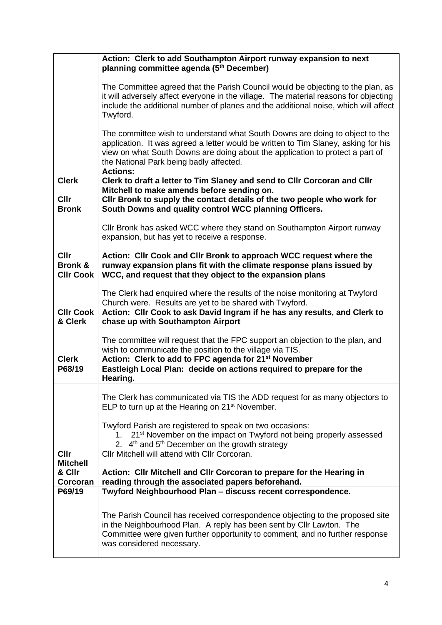|                                                | Action: Clerk to add Southampton Airport runway expansion to next<br>planning committee agenda (5 <sup>th</sup> December)                                                                                                                                                                                         |
|------------------------------------------------|-------------------------------------------------------------------------------------------------------------------------------------------------------------------------------------------------------------------------------------------------------------------------------------------------------------------|
|                                                | The Committee agreed that the Parish Council would be objecting to the plan, as<br>it will adversely affect everyone in the village. The material reasons for objecting<br>include the additional number of planes and the additional noise, which will affect<br>Twyford.                                        |
|                                                | The committee wish to understand what South Downs are doing to object to the<br>application. It was agreed a letter would be written to Tim Slaney, asking for his<br>view on what South Downs are doing about the application to protect a part of<br>the National Park being badly affected.<br><b>Actions:</b> |
| <b>Clerk</b><br>Cllr<br><b>Bronk</b>           | Clerk to draft a letter to Tim Slaney and send to Cllr Corcoran and Cllr<br>Mitchell to make amends before sending on.<br>Cllr Bronk to supply the contact details of the two people who work for<br>South Downs and quality control WCC planning Officers.                                                       |
|                                                | Cllr Bronk has asked WCC where they stand on Southampton Airport runway<br>expansion, but has yet to receive a response.                                                                                                                                                                                          |
| Cllr<br><b>Bronk &amp;</b><br><b>CIIr Cook</b> | Action: Cllr Cook and Cllr Bronk to approach WCC request where the<br>runway expansion plans fit with the climate response plans issued by<br>WCC, and request that they object to the expansion plans                                                                                                            |
| <b>CIIr Cook</b><br>& Clerk                    | The Clerk had enquired where the results of the noise monitoring at Twyford<br>Church were. Results are yet to be shared with Twyford.<br>Action: Cllr Cook to ask David Ingram if he has any results, and Clerk to<br>chase up with Southampton Airport                                                          |
| <b>Clerk</b>                                   | The committee will request that the FPC support an objection to the plan, and<br>wish to communicate the position to the village via TIS.<br>Action: Clerk to add to FPC agenda for 21 <sup>st</sup> November                                                                                                     |
| P68/19                                         | Eastleigh Local Plan: decide on actions required to prepare for the<br>Hearing.                                                                                                                                                                                                                                   |
|                                                | The Clerk has communicated via TIS the ADD request for as many objectors to<br>ELP to turn up at the Hearing on 21 <sup>st</sup> November.                                                                                                                                                                        |
| <b>Cllr</b><br><b>Mitchell</b>                 | Twyford Parish are registered to speak on two occasions:<br>21 <sup>st</sup> November on the impact on Twyford not being properly assessed<br>1.<br>2. 4 <sup>th</sup> and 5 <sup>th</sup> December on the growth strategy<br>Cllr Mitchell will attend with Cllr Corcoran.                                       |
| & Cllr<br>Corcoran                             | Action: Cllr Mitchell and Cllr Corcoran to prepare for the Hearing in<br>reading through the associated papers beforehand.                                                                                                                                                                                        |
| P69/19                                         | Twyford Neighbourhood Plan - discuss recent correspondence.                                                                                                                                                                                                                                                       |
|                                                | The Parish Council has received correspondence objecting to the proposed site<br>in the Neighbourhood Plan. A reply has been sent by Cllr Lawton. The<br>Committee were given further opportunity to comment, and no further response<br>was considered necessary.                                                |